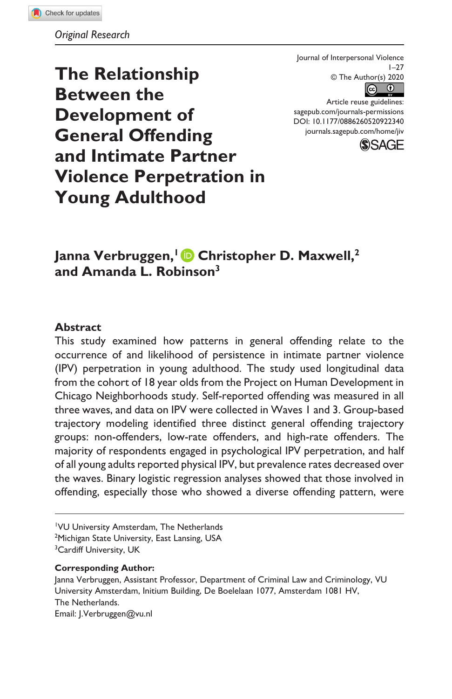### *Original Research*

Journal of Interpersonal Violence  $1 - 27$ © The Author(s) 2020  $\circ$   $\circ$ 

DOI: 10.1177/0886260520922340 Article reuse guidelines: [sagepub.com/journals-permissions](https://us.sagepub.com/en-us/journals-permissions) [journals.sagepub.com/home/jiv](https://journals.sagepub.com/home/jiv)



**The Relationship Between the Development of General Offending and Intimate Partner Violence Perpetration in Young Adulthood**

# Janna Verbruggen,<sup>1</sup> Christopher D. Maxwell,<sup>2</sup> **and Amanda L. Robinson3**

#### **Abstract**

This study examined how patterns in general offending relate to the occurrence of and likelihood of persistence in intimate partner violence (IPV) perpetration in young adulthood. The study used longitudinal data from the cohort of 18 year olds from the Project on Human Development in Chicago Neighborhoods study. Self-reported offending was measured in all three waves, and data on IPV were collected in Waves 1 and 3. Group-based trajectory modeling identified three distinct general offending trajectory groups: non-offenders, low-rate offenders, and high-rate offenders. The majority of respondents engaged in psychological IPV perpetration, and half of all young adults reported physical IPV, but prevalence rates decreased over the waves. Binary logistic regression analyses showed that those involved in offending, especially those who showed a diverse offending pattern, were

<sup>3</sup>Cardiff University, UK

**Corresponding Author:**

<sup>1</sup> VU University Amsterdam, The Netherlands <sup>2</sup>Michigan State University, East Lansing, USA

Janna Verbruggen, Assistant Professor, Department of Criminal Law and Criminology, VU University Amsterdam, Initium Building, De Boelelaan 1077, Amsterdam 1081 HV, The Netherlands. Email: [J.Verbruggen@vu.nl](mailto:J.Verbruggen@vu.nl)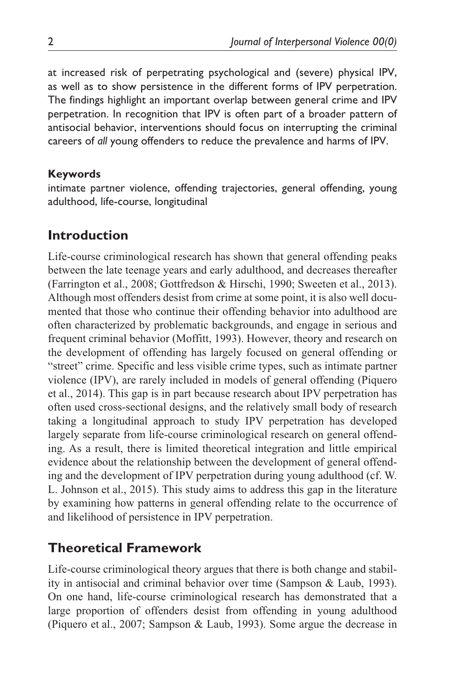at increased risk of perpetrating psychological and (severe) physical IPV, as well as to show persistence in the different forms of IPV perpetration. The findings highlight an important overlap between general crime and IPV perpetration. In recognition that IPV is often part of a broader pattern of antisocial behavior, interventions should focus on interrupting the criminal careers of *all* young offenders to reduce the prevalence and harms of IPV.

### **Keywords**

intimate partner violence, offending trajectories, general offending, young adulthood, life-course, longitudinal

## **Introduction**

Life-course criminological research has shown that general offending peaks between the late teenage years and early adulthood, and decreases thereafter (Farrington et al., 2008; Gottfredson & Hirschi, 1990; Sweeten et al., 2013). Although most offenders desist from crime at some point, it is also well documented that those who continue their offending behavior into adulthood are often characterized by problematic backgrounds, and engage in serious and frequent criminal behavior (Moffitt, 1993). However, theory and research on the development of offending has largely focused on general offending or "street" crime. Specific and less visible crime types, such as intimate partner violence (IPV), are rarely included in models of general offending (Piquero et al., 2014). This gap is in part because research about IPV perpetration has often used cross-sectional designs, and the relatively small body of research taking a longitudinal approach to study IPV perpetration has developed largely separate from life-course criminological research on general offending. As a result, there is limited theoretical integration and little empirical evidence about the relationship between the development of general offending and the development of IPV perpetration during young adulthood (cf. W. L. Johnson et al., 2015). This study aims to address this gap in the literature by examining how patterns in general offending relate to the occurrence of and likelihood of persistence in IPV perpetration.

# **Theoretical Framework**

Life-course criminological theory argues that there is both change and stability in antisocial and criminal behavior over time (Sampson & Laub, 1993). On one hand, life-course criminological research has demonstrated that a large proportion of offenders desist from offending in young adulthood (Piquero et al., 2007; Sampson & Laub, 1993). Some argue the decrease in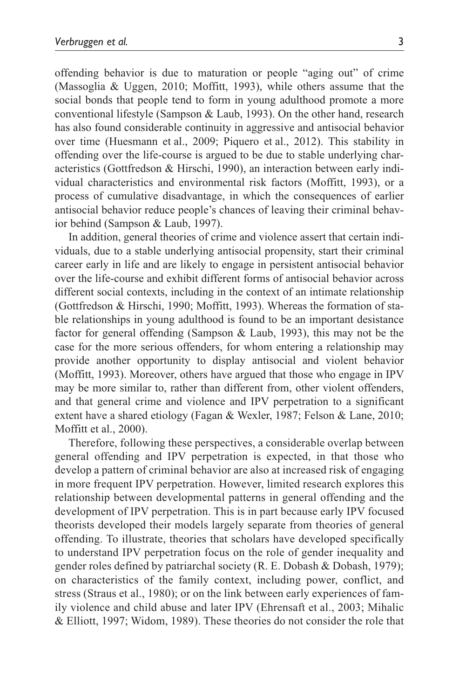offending behavior is due to maturation or people "aging out" of crime (Massoglia & Uggen, 2010; Moffitt, 1993), while others assume that the social bonds that people tend to form in young adulthood promote a more conventional lifestyle (Sampson & Laub, 1993). On the other hand, research has also found considerable continuity in aggressive and antisocial behavior over time (Huesmann et al., 2009; Piquero et al., 2012). This stability in offending over the life-course is argued to be due to stable underlying characteristics (Gottfredson & Hirschi, 1990), an interaction between early individual characteristics and environmental risk factors (Moffitt, 1993), or a process of cumulative disadvantage, in which the consequences of earlier antisocial behavior reduce people's chances of leaving their criminal behavior behind (Sampson & Laub, 1997).

In addition, general theories of crime and violence assert that certain individuals, due to a stable underlying antisocial propensity, start their criminal career early in life and are likely to engage in persistent antisocial behavior over the life-course and exhibit different forms of antisocial behavior across different social contexts, including in the context of an intimate relationship (Gottfredson & Hirschi, 1990; Moffitt, 1993). Whereas the formation of stable relationships in young adulthood is found to be an important desistance factor for general offending (Sampson & Laub, 1993), this may not be the case for the more serious offenders, for whom entering a relationship may provide another opportunity to display antisocial and violent behavior (Moffitt, 1993). Moreover, others have argued that those who engage in IPV may be more similar to, rather than different from, other violent offenders, and that general crime and violence and IPV perpetration to a significant extent have a shared etiology (Fagan & Wexler, 1987; Felson & Lane, 2010; Moffitt et al., 2000).

Therefore, following these perspectives, a considerable overlap between general offending and IPV perpetration is expected, in that those who develop a pattern of criminal behavior are also at increased risk of engaging in more frequent IPV perpetration. However, limited research explores this relationship between developmental patterns in general offending and the development of IPV perpetration. This is in part because early IPV focused theorists developed their models largely separate from theories of general offending. To illustrate, theories that scholars have developed specifically to understand IPV perpetration focus on the role of gender inequality and gender roles defined by patriarchal society (R. E. Dobash & Dobash, 1979); on characteristics of the family context, including power, conflict, and stress (Straus et al., 1980); or on the link between early experiences of family violence and child abuse and later IPV (Ehrensaft et al., 2003; Mihalic & Elliott, 1997; Widom, 1989). These theories do not consider the role that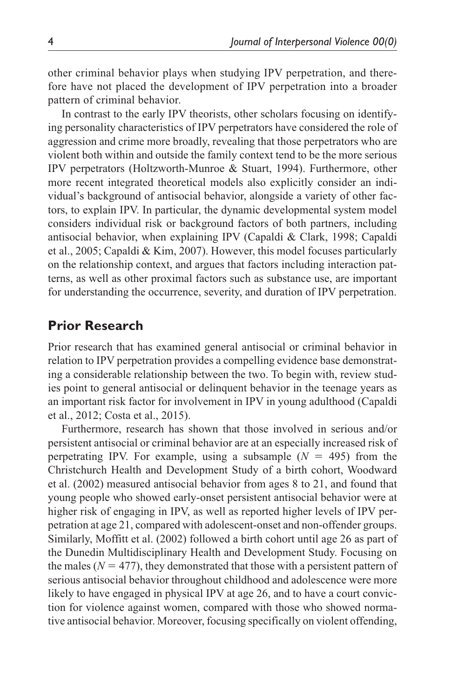other criminal behavior plays when studying IPV perpetration, and therefore have not placed the development of IPV perpetration into a broader pattern of criminal behavior.

In contrast to the early IPV theorists, other scholars focusing on identifying personality characteristics of IPV perpetrators have considered the role of aggression and crime more broadly, revealing that those perpetrators who are violent both within and outside the family context tend to be the more serious IPV perpetrators (Holtzworth-Munroe & Stuart, 1994). Furthermore, other more recent integrated theoretical models also explicitly consider an individual's background of antisocial behavior, alongside a variety of other factors, to explain IPV. In particular, the dynamic developmental system model considers individual risk or background factors of both partners, including antisocial behavior, when explaining IPV (Capaldi & Clark, 1998; Capaldi et al., 2005; Capaldi & Kim, 2007). However, this model focuses particularly on the relationship context, and argues that factors including interaction patterns, as well as other proximal factors such as substance use, are important for understanding the occurrence, severity, and duration of IPV perpetration.

## **Prior Research**

Prior research that has examined general antisocial or criminal behavior in relation to IPV perpetration provides a compelling evidence base demonstrating a considerable relationship between the two. To begin with, review studies point to general antisocial or delinquent behavior in the teenage years as an important risk factor for involvement in IPV in young adulthood (Capaldi et al., 2012; Costa et al., 2015).

Furthermore, research has shown that those involved in serious and/or persistent antisocial or criminal behavior are at an especially increased risk of perpetrating IPV. For example, using a subsample  $(N = 495)$  from the Christchurch Health and Development Study of a birth cohort, Woodward et al. (2002) measured antisocial behavior from ages 8 to 21, and found that young people who showed early-onset persistent antisocial behavior were at higher risk of engaging in IPV, as well as reported higher levels of IPV perpetration at age 21, compared with adolescent-onset and non-offender groups. Similarly, Moffitt et al. (2002) followed a birth cohort until age 26 as part of the Dunedin Multidisciplinary Health and Development Study. Focusing on the males ( $N = 477$ ), they demonstrated that those with a persistent pattern of serious antisocial behavior throughout childhood and adolescence were more likely to have engaged in physical IPV at age 26, and to have a court conviction for violence against women, compared with those who showed normative antisocial behavior. Moreover, focusing specifically on violent offending,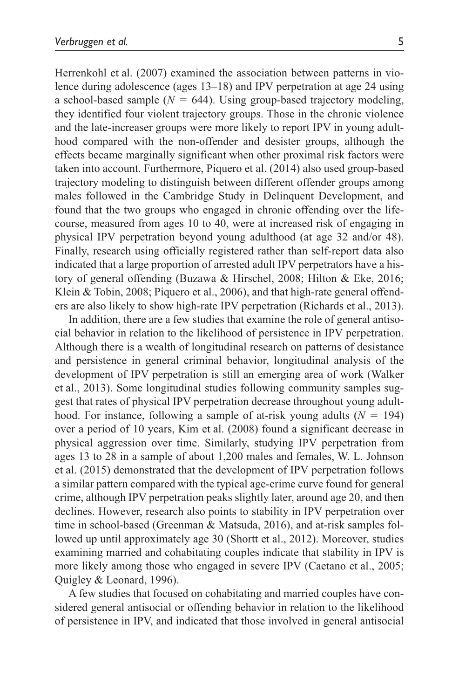Herrenkohl et al. (2007) examined the association between patterns in violence during adolescence (ages 13–18) and IPV perpetration at age 24 using a school-based sample ( $N = 644$ ). Using group-based trajectory modeling, they identified four violent trajectory groups. Those in the chronic violence and the late-increaser groups were more likely to report IPV in young adulthood compared with the non-offender and desister groups, although the effects became marginally significant when other proximal risk factors were taken into account. Furthermore, Piquero et al. (2014) also used group-based trajectory modeling to distinguish between different offender groups among males followed in the Cambridge Study in Delinquent Development, and found that the two groups who engaged in chronic offending over the lifecourse, measured from ages 10 to 40, were at increased risk of engaging in physical IPV perpetration beyond young adulthood (at age 32 and/or 48). Finally, research using officially registered rather than self-report data also indicated that a large proportion of arrested adult IPV perpetrators have a history of general offending (Buzawa & Hirschel, 2008; Hilton & Eke, 2016; Klein & Tobin, 2008; Piquero et al., 2006), and that high-rate general offenders are also likely to show high-rate IPV perpetration (Richards et al., 2013).

In addition, there are a few studies that examine the role of general antisocial behavior in relation to the likelihood of persistence in IPV perpetration. Although there is a wealth of longitudinal research on patterns of desistance and persistence in general criminal behavior, longitudinal analysis of the development of IPV perpetration is still an emerging area of work (Walker et al., 2013). Some longitudinal studies following community samples suggest that rates of physical IPV perpetration decrease throughout young adulthood. For instance, following a sample of at-risk young adults  $(N = 194)$ over a period of 10 years, Kim et al. (2008) found a significant decrease in physical aggression over time. Similarly, studying IPV perpetration from ages 13 to 28 in a sample of about 1,200 males and females, W. L. Johnson et al. (2015) demonstrated that the development of IPV perpetration follows a similar pattern compared with the typical age-crime curve found for general crime, although IPV perpetration peaks slightly later, around age 20, and then declines. However, research also points to stability in IPV perpetration over time in school-based (Greenman & Matsuda, 2016), and at-risk samples followed up until approximately age 30 (Shortt et al., 2012). Moreover, studies examining married and cohabitating couples indicate that stability in IPV is more likely among those who engaged in severe IPV (Caetano et al., 2005; Quigley & Leonard, 1996).

A few studies that focused on cohabitating and married couples have considered general antisocial or offending behavior in relation to the likelihood of persistence in IPV, and indicated that those involved in general antisocial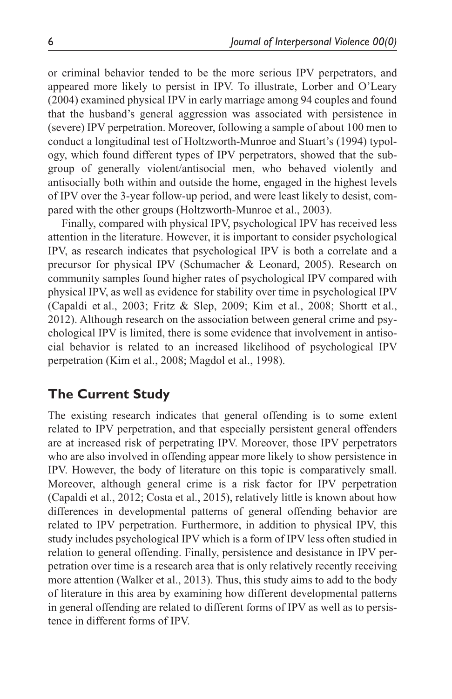or criminal behavior tended to be the more serious IPV perpetrators, and appeared more likely to persist in IPV. To illustrate, Lorber and O'Leary (2004) examined physical IPV in early marriage among 94 couples and found that the husband's general aggression was associated with persistence in (severe) IPV perpetration. Moreover, following a sample of about 100 men to conduct a longitudinal test of Holtzworth-Munroe and Stuart's (1994) typology, which found different types of IPV perpetrators, showed that the subgroup of generally violent/antisocial men, who behaved violently and antisocially both within and outside the home, engaged in the highest levels of IPV over the 3-year follow-up period, and were least likely to desist, compared with the other groups (Holtzworth-Munroe et al., 2003).

Finally, compared with physical IPV, psychological IPV has received less attention in the literature. However, it is important to consider psychological IPV, as research indicates that psychological IPV is both a correlate and a precursor for physical IPV (Schumacher & Leonard, 2005). Research on community samples found higher rates of psychological IPV compared with physical IPV, as well as evidence for stability over time in psychological IPV (Capaldi et al., 2003; Fritz & Slep, 2009; Kim et al., 2008; Shortt et al., 2012). Although research on the association between general crime and psychological IPV is limited, there is some evidence that involvement in antisocial behavior is related to an increased likelihood of psychological IPV perpetration (Kim et al., 2008; Magdol et al., 1998).

# **The Current Study**

The existing research indicates that general offending is to some extent related to IPV perpetration, and that especially persistent general offenders are at increased risk of perpetrating IPV. Moreover, those IPV perpetrators who are also involved in offending appear more likely to show persistence in IPV. However, the body of literature on this topic is comparatively small. Moreover, although general crime is a risk factor for IPV perpetration (Capaldi et al., 2012; Costa et al., 2015), relatively little is known about how differences in developmental patterns of general offending behavior are related to IPV perpetration. Furthermore, in addition to physical IPV, this study includes psychological IPV which is a form of IPV less often studied in relation to general offending. Finally, persistence and desistance in IPV perpetration over time is a research area that is only relatively recently receiving more attention (Walker et al., 2013). Thus, this study aims to add to the body of literature in this area by examining how different developmental patterns in general offending are related to different forms of IPV as well as to persistence in different forms of IPV.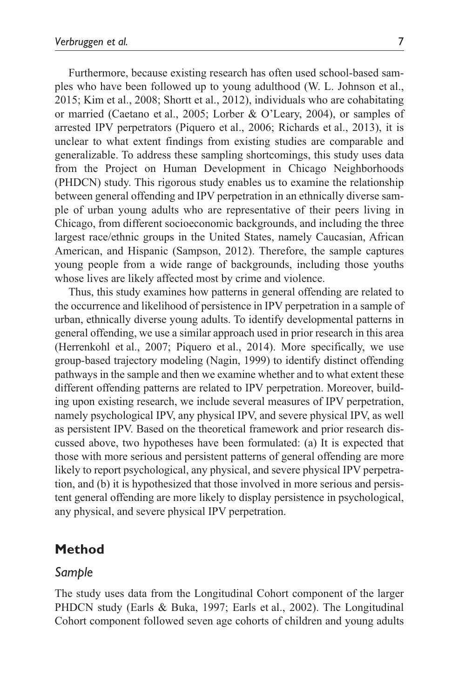Furthermore, because existing research has often used school-based samples who have been followed up to young adulthood (W. L. Johnson et al., 2015; Kim et al., 2008; Shortt et al., 2012), individuals who are cohabitating or married (Caetano et al., 2005; Lorber & O'Leary, 2004), or samples of arrested IPV perpetrators (Piquero et al., 2006; Richards et al., 2013), it is unclear to what extent findings from existing studies are comparable and generalizable. To address these sampling shortcomings, this study uses data from the Project on Human Development in Chicago Neighborhoods (PHDCN) study. This rigorous study enables us to examine the relationship between general offending and IPV perpetration in an ethnically diverse sample of urban young adults who are representative of their peers living in Chicago, from different socioeconomic backgrounds, and including the three largest race/ethnic groups in the United States, namely Caucasian, African American, and Hispanic (Sampson, 2012). Therefore, the sample captures young people from a wide range of backgrounds, including those youths whose lives are likely affected most by crime and violence.

Thus, this study examines how patterns in general offending are related to the occurrence and likelihood of persistence in IPV perpetration in a sample of urban, ethnically diverse young adults. To identify developmental patterns in general offending, we use a similar approach used in prior research in this area (Herrenkohl et al., 2007; Piquero et al., 2014). More specifically, we use group-based trajectory modeling (Nagin, 1999) to identify distinct offending pathways in the sample and then we examine whether and to what extent these different offending patterns are related to IPV perpetration. Moreover, building upon existing research, we include several measures of IPV perpetration, namely psychological IPV, any physical IPV, and severe physical IPV, as well as persistent IPV. Based on the theoretical framework and prior research discussed above, two hypotheses have been formulated: (a) It is expected that those with more serious and persistent patterns of general offending are more likely to report psychological, any physical, and severe physical IPV perpetration, and (b) it is hypothesized that those involved in more serious and persistent general offending are more likely to display persistence in psychological, any physical, and severe physical IPV perpetration.

## **Method**

### *Sample*

The study uses data from the Longitudinal Cohort component of the larger PHDCN study (Earls & Buka, 1997; Earls et al., 2002). The Longitudinal Cohort component followed seven age cohorts of children and young adults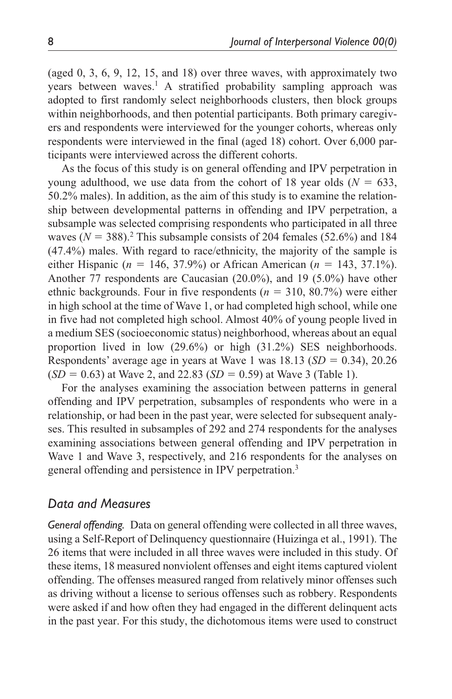(aged 0, 3, 6, 9, 12, 15, and 18) over three waves, with approximately two years between waves.<sup>1</sup> A stratified probability sampling approach was adopted to first randomly select neighborhoods clusters, then block groups within neighborhoods, and then potential participants. Both primary caregivers and respondents were interviewed for the younger cohorts, whereas only respondents were interviewed in the final (aged 18) cohort. Over 6,000 participants were interviewed across the different cohorts.

As the focus of this study is on general offending and IPV perpetration in young adulthood, we use data from the cohort of 18 year olds  $(N = 633)$ , 50.2% males). In addition, as the aim of this study is to examine the relationship between developmental patterns in offending and IPV perpetration, a subsample was selected comprising respondents who participated in all three waves  $(N = 388)$ .<sup>2</sup> This subsample consists of 204 females (52.6%) and 184 (47.4%) males. With regard to race/ethnicity, the majority of the sample is either Hispanic ( $n = 146, 37.9\%$ ) or African American ( $n = 143, 37.1\%$ ). Another 77 respondents are Caucasian (20.0%), and 19 (5.0%) have other ethnic backgrounds. Four in five respondents  $(n = 310, 80.7%)$  were either in high school at the time of Wave 1, or had completed high school, while one in five had not completed high school. Almost 40% of young people lived in a medium SES (socioeconomic status) neighborhood, whereas about an equal proportion lived in low (29.6%) or high (31.2%) SES neighborhoods. Respondents' average age in years at Wave 1 was 18.13 (*SD* = 0.34), 20.26 (*SD* = 0.63) at Wave 2, and 22.83 (*SD* = 0.59) at Wave 3 (Table 1).

For the analyses examining the association between patterns in general offending and IPV perpetration, subsamples of respondents who were in a relationship, or had been in the past year, were selected for subsequent analyses. This resulted in subsamples of 292 and 274 respondents for the analyses examining associations between general offending and IPV perpetration in Wave 1 and Wave 3, respectively, and 216 respondents for the analyses on general offending and persistence in IPV perpetration.<sup>3</sup>

### *Data and Measures*

*General offending.* Data on general offending were collected in all three waves, using a Self-Report of Delinquency questionnaire (Huizinga et al., 1991). The 26 items that were included in all three waves were included in this study. Of these items, 18 measured nonviolent offenses and eight items captured violent offending. The offenses measured ranged from relatively minor offenses such as driving without a license to serious offenses such as robbery. Respondents were asked if and how often they had engaged in the different delinquent acts in the past year. For this study, the dichotomous items were used to construct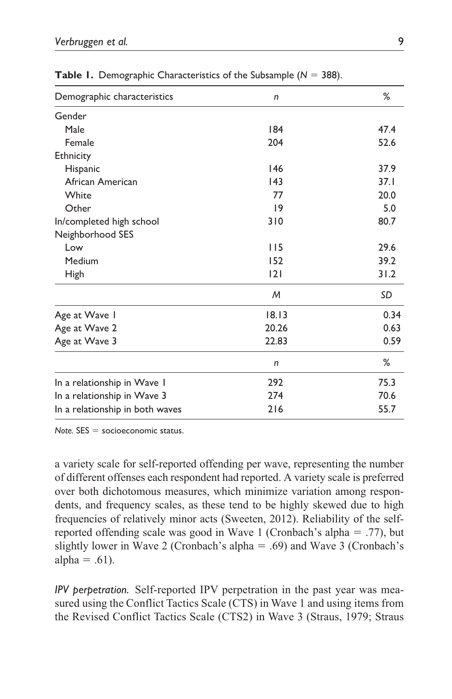| n     | %    |
|-------|------|
|       |      |
| 184   | 47.4 |
| 204   | 52.6 |
|       |      |
| 146   | 37.9 |
| 43    | 37.1 |
| 77    | 20.0 |
| 9     | 5.0  |
| 310   | 80.7 |
|       |      |
| 115   | 29.6 |
| 152   | 39.2 |
| 2     | 31.2 |
| M     | SD   |
| 18.13 | 0.34 |
| 20.26 | 0.63 |
| 22.83 | 0.59 |
| n     | ℅    |
| 292   | 75.3 |
| 274   | 70.6 |
| 216   | 55.7 |
|       |      |

**Table 1.** Demographic Characteristics of the Subsample ( $N = 388$ ).

*Note.* SES = socioeconomic status.

a variety scale for self-reported offending per wave, representing the number of different offenses each respondent had reported. A variety scale is preferred over both dichotomous measures, which minimize variation among respondents, and frequency scales, as these tend to be highly skewed due to high frequencies of relatively minor acts (Sweeten, 2012). Reliability of the selfreported offending scale was good in Wave 1 (Cronbach's alpha = .77), but slightly lower in Wave 2 (Cronbach's alpha  $=$  .69) and Wave 3 (Cronbach's alpha  $= .61$ ).

*IPV perpetration.* Self-reported IPV perpetration in the past year was measured using the Conflict Tactics Scale (CTS) in Wave 1 and using items from the Revised Conflict Tactics Scale (CTS2) in Wave 3 (Straus, 1979; Straus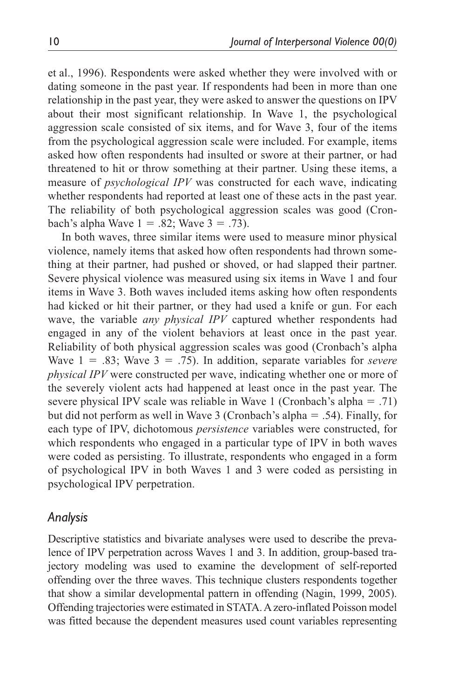et al., 1996). Respondents were asked whether they were involved with or dating someone in the past year. If respondents had been in more than one relationship in the past year, they were asked to answer the questions on IPV about their most significant relationship. In Wave 1, the psychological aggression scale consisted of six items, and for Wave 3, four of the items from the psychological aggression scale were included. For example, items asked how often respondents had insulted or swore at their partner, or had threatened to hit or throw something at their partner. Using these items, a measure of *psychological IPV* was constructed for each wave, indicating whether respondents had reported at least one of these acts in the past year. The reliability of both psychological aggression scales was good (Cronbach's alpha Wave  $1 = .82$ ; Wave  $3 = .73$ ).

In both waves, three similar items were used to measure minor physical violence, namely items that asked how often respondents had thrown something at their partner, had pushed or shoved, or had slapped their partner. Severe physical violence was measured using six items in Wave 1 and four items in Wave 3. Both waves included items asking how often respondents had kicked or hit their partner, or they had used a knife or gun. For each wave, the variable *any physical IPV* captured whether respondents had engaged in any of the violent behaviors at least once in the past year. Reliability of both physical aggression scales was good (Cronbach's alpha Wave  $1 = .83$ ; Wave  $3 = .75$ ). In addition, separate variables for *severe physical IPV* were constructed per wave, indicating whether one or more of the severely violent acts had happened at least once in the past year. The severe physical IPV scale was reliable in Wave 1 (Cronbach's alpha = .71) but did not perform as well in Wave 3 (Cronbach's alpha = .54). Finally, for each type of IPV, dichotomous *persistence* variables were constructed, for which respondents who engaged in a particular type of IPV in both waves were coded as persisting. To illustrate, respondents who engaged in a form of psychological IPV in both Waves 1 and 3 were coded as persisting in psychological IPV perpetration.

### *Analysis*

Descriptive statistics and bivariate analyses were used to describe the prevalence of IPV perpetration across Waves 1 and 3. In addition, group-based trajectory modeling was used to examine the development of self-reported offending over the three waves. This technique clusters respondents together that show a similar developmental pattern in offending (Nagin, 1999, 2005). Offending trajectories were estimated in STATA. A zero-inflated Poisson model was fitted because the dependent measures used count variables representing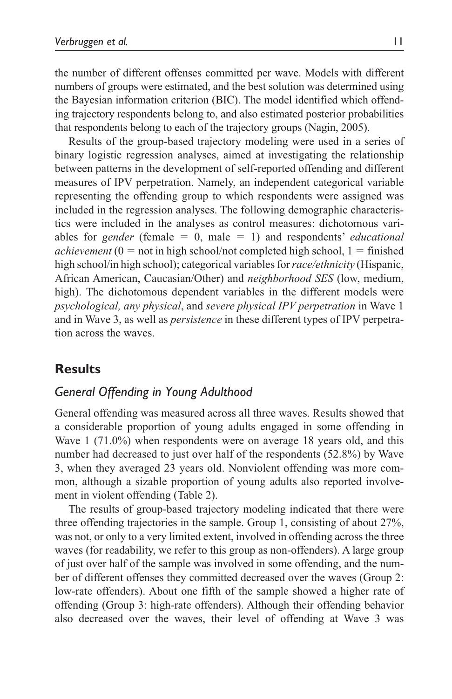the number of different offenses committed per wave. Models with different numbers of groups were estimated, and the best solution was determined using the Bayesian information criterion (BIC). The model identified which offending trajectory respondents belong to, and also estimated posterior probabilities that respondents belong to each of the trajectory groups (Nagin, 2005).

Results of the group-based trajectory modeling were used in a series of binary logistic regression analyses, aimed at investigating the relationship between patterns in the development of self-reported offending and different measures of IPV perpetration. Namely, an independent categorical variable representing the offending group to which respondents were assigned was included in the regression analyses. The following demographic characteristics were included in the analyses as control measures: dichotomous variables for *gender* (female = 0, male = 1) and respondents' *educational achievement* ( $0 = not in high school/not completed high school,  $1 = finished$ )$ high school/in high school); categorical variables for *race/ethnicity* (Hispanic, African American, Caucasian/Other) and *neighborhood SES* (low, medium, high). The dichotomous dependent variables in the different models were *psychological, any physical*, and *severe physical IPV perpetration* in Wave 1 and in Wave 3, as well as *persistence* in these different types of IPV perpetration across the waves.

## **Results**

## *General Offending in Young Adulthood*

General offending was measured across all three waves. Results showed that a considerable proportion of young adults engaged in some offending in Wave 1 (71.0%) when respondents were on average 18 years old, and this number had decreased to just over half of the respondents (52.8%) by Wave 3, when they averaged 23 years old. Nonviolent offending was more common, although a sizable proportion of young adults also reported involvement in violent offending (Table 2).

The results of group-based trajectory modeling indicated that there were three offending trajectories in the sample. Group 1, consisting of about 27%, was not, or only to a very limited extent, involved in offending across the three waves (for readability, we refer to this group as non-offenders). A large group of just over half of the sample was involved in some offending, and the number of different offenses they committed decreased over the waves (Group 2: low-rate offenders). About one fifth of the sample showed a higher rate of offending (Group 3: high-rate offenders). Although their offending behavior also decreased over the waves, their level of offending at Wave 3 was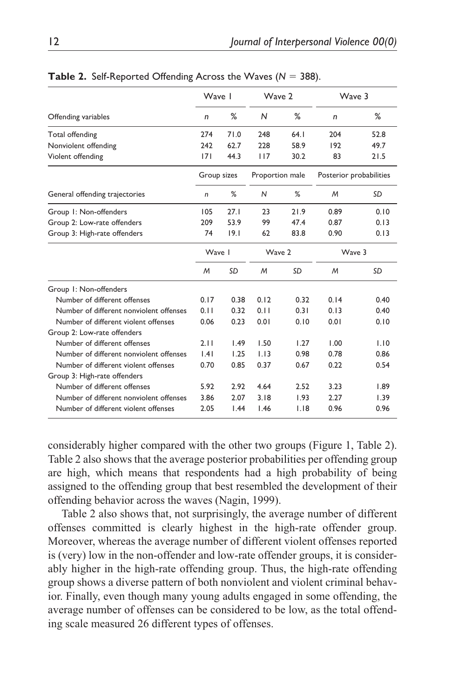|                                         | Wave I      |      | Wave 2          |      | Wave 3                  |      |
|-----------------------------------------|-------------|------|-----------------|------|-------------------------|------|
| Offending variables                     | n           | %    | N               | %    | n                       | %    |
| Total offending                         | 274         | 71.0 | 248             | 64.1 | 204                     | 52.8 |
| Nonviolent offending                    | 242         | 62.7 | 228             | 58.9 | 192                     | 49.7 |
| Violent offending                       | 7           | 44.3 | 117             | 30.2 | 83                      | 21.5 |
|                                         | Group sizes |      | Proportion male |      | Posterior probabilities |      |
| General offending trajectories          | n           | ℅    | N               | %    | M                       | SD   |
| Group 1: Non-offenders                  | 105         | 27.1 | 23              | 21.9 | 0.89                    | 0.10 |
| Group 2: Low-rate offenders             | 209         | 53.9 | 99              | 47.4 | 0.87                    | 0.13 |
| Group 3: High-rate offenders            | 74          | 9.1  | 62              | 83.8 | 0.90                    | 0.13 |
|                                         | Wave I      |      | Wave 2          |      | Wave 3                  |      |
|                                         | M           | SD   | M               | SD   | M                       | SD   |
| Group 1: Non-offenders                  |             |      |                 |      |                         |      |
| Number of different offenses            | 0.17        | 0.38 | 0.12            | 0.32 | 0.14                    | 0.40 |
| Number of different nonviolent offenses | 0.11        | 0.32 | 0.11            | 0.31 | 0.13                    | 0.40 |
| Number of different violent offenses    | 0.06        | 0.23 | 0.01            | 0.10 | 0.01                    | 0.10 |
| Group 2: Low-rate offenders             |             |      |                 |      |                         |      |
| Number of different offenses            | 2.11        | 1.49 | 1.50            | 127  | 1.00                    | 1.10 |
| Number of different nonviolent offenses | 1.41        | 1.25 | 1.13            | 0.98 | 0.78                    | 0.86 |
| Number of different violent offenses    | 0.70        | 0.85 | 0.37            | 0.67 | 0.22                    | 0.54 |
| Group 3: High-rate offenders            |             |      |                 |      |                         |      |
| Number of different offenses            | 5.92        | 2.92 | 4.64            | 2.52 | 3.23                    | 1.89 |
| Number of different nonviolent offenses | 3.86        | 2.07 | 3.18            | 1.93 | 2.27                    | 1.39 |
| Number of different violent offenses    | 2.05        | 1.44 | 1.46            | 1.18 | 0.96                    | 0.96 |

**Table 2.** Self-Reported Offending Across the Waves (*N* = 388).

considerably higher compared with the other two groups (Figure 1, Table 2). Table 2 also shows that the average posterior probabilities per offending group are high, which means that respondents had a high probability of being assigned to the offending group that best resembled the development of their offending behavior across the waves (Nagin, 1999).

Table 2 also shows that, not surprisingly, the average number of different offenses committed is clearly highest in the high-rate offender group. Moreover, whereas the average number of different violent offenses reported is (very) low in the non-offender and low-rate offender groups, it is considerably higher in the high-rate offending group. Thus, the high-rate offending group shows a diverse pattern of both nonviolent and violent criminal behavior. Finally, even though many young adults engaged in some offending, the average number of offenses can be considered to be low, as the total offending scale measured 26 different types of offenses.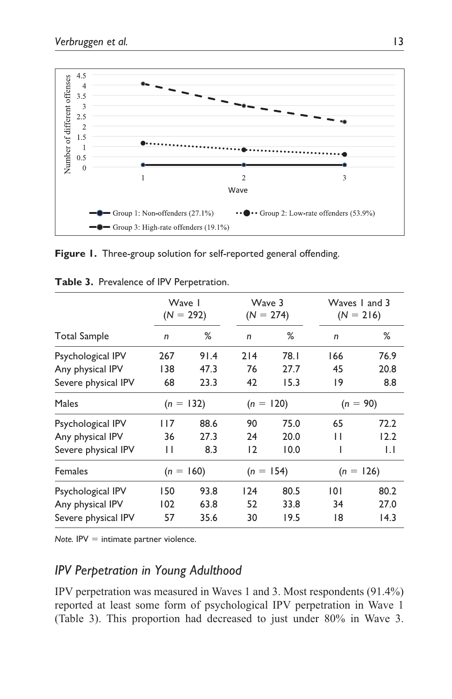

**Figure 1.** Three-group solution for self-reported general offending.

|                     | Wave 1<br>$(N = 292)$ |      | Wave 3<br>$(N = 274)$ |      | Waves 1 and 3<br>$(N = 216)$ |      |
|---------------------|-----------------------|------|-----------------------|------|------------------------------|------|
| <b>Total Sample</b> | n                     | %    | n                     | %    | n                            | %    |
| Psychological IPV   | 267                   | 91.4 | 214                   | 78.I | 166                          | 76.9 |
| Any physical IPV    | 138                   | 47.3 | 76                    | 27.7 | 45                           | 20.8 |
| Severe physical IPV | 68                    | 23.3 | 42                    | 15.3 | 19                           | 8.8  |
| Males               | $(n = 132)$           |      | $(n = 120)$           |      | $(n = 90)$                   |      |
| Psychological IPV   | l I 7                 | 88.6 | 90                    | 75.0 | 65                           | 72.2 |
| Any physical IPV    | 36                    | 27.3 | 24                    | 20.0 | Н                            | 12.2 |
| Severe physical IPV | Н                     | 8.3  | $\overline{2}$        | 10.0 | ı                            | IJ   |
| <b>Females</b>      | $(n = 160)$           |      | $(n = 154)$           |      | $(n = 126)$                  |      |
| Psychological IPV   | 150                   | 93.8 | 124                   | 80.5 | 0                            | 80.2 |
| Any physical IPV    | 102                   | 63.8 | 52                    | 33.8 | 34                           | 27.0 |
| Severe physical IPV | 57                    | 35.6 | 30                    | 19.5 | 18                           | 14.3 |

| Table 3. Prevalence of IPV Perpetration. |  |
|------------------------------------------|--|
|------------------------------------------|--|

*Note.* IPV = intimate partner violence.

# *IPV Perpetration in Young Adulthood*

IPV perpetration was measured in Waves 1 and 3. Most respondents (91.4%) reported at least some form of psychological IPV perpetration in Wave 1 (Table 3). This proportion had decreased to just under 80% in Wave 3.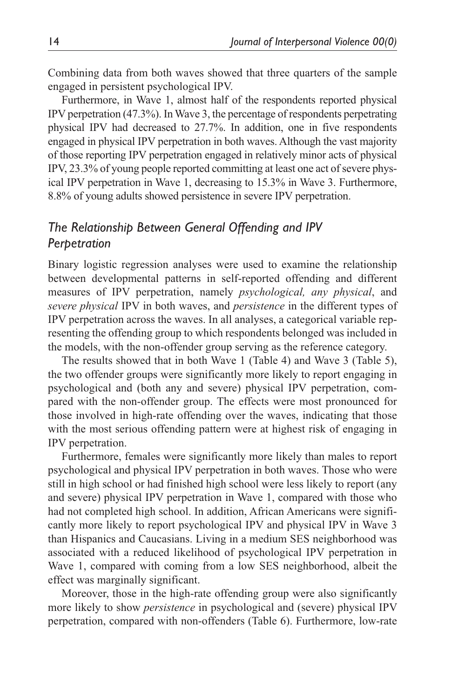Combining data from both waves showed that three quarters of the sample engaged in persistent psychological IPV.

Furthermore, in Wave 1, almost half of the respondents reported physical IPV perpetration (47.3%). In Wave 3, the percentage of respondents perpetrating physical IPV had decreased to 27.7%. In addition, one in five respondents engaged in physical IPV perpetration in both waves. Although the vast majority of those reporting IPV perpetration engaged in relatively minor acts of physical IPV, 23.3% of young people reported committing at least one act of severe physical IPV perpetration in Wave 1, decreasing to 15.3% in Wave 3. Furthermore, 8.8% of young adults showed persistence in severe IPV perpetration.

## *The Relationship Between General Offending and IPV Perpetration*

Binary logistic regression analyses were used to examine the relationship between developmental patterns in self-reported offending and different measures of IPV perpetration, namely *psychological, any physical*, and *severe physical* IPV in both waves, and *persistence* in the different types of IPV perpetration across the waves. In all analyses, a categorical variable representing the offending group to which respondents belonged was included in the models, with the non-offender group serving as the reference category.

The results showed that in both Wave 1 (Table 4) and Wave 3 (Table 5), the two offender groups were significantly more likely to report engaging in psychological and (both any and severe) physical IPV perpetration, compared with the non-offender group. The effects were most pronounced for those involved in high-rate offending over the waves, indicating that those with the most serious offending pattern were at highest risk of engaging in IPV perpetration.

Furthermore, females were significantly more likely than males to report psychological and physical IPV perpetration in both waves. Those who were still in high school or had finished high school were less likely to report (any and severe) physical IPV perpetration in Wave 1, compared with those who had not completed high school. In addition, African Americans were significantly more likely to report psychological IPV and physical IPV in Wave 3 than Hispanics and Caucasians. Living in a medium SES neighborhood was associated with a reduced likelihood of psychological IPV perpetration in Wave 1, compared with coming from a low SES neighborhood, albeit the effect was marginally significant.

Moreover, those in the high-rate offending group were also significantly more likely to show *persistence* in psychological and (severe) physical IPV perpetration, compared with non-offenders (Table 6). Furthermore, low-rate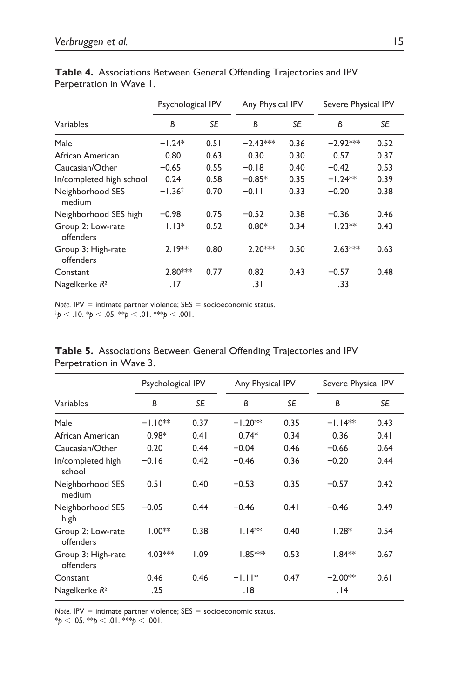|                                 | Psychological IPV |      | Any Physical IPV |      | Severe Physical IPV |      |  |
|---------------------------------|-------------------|------|------------------|------|---------------------|------|--|
| Variables                       | B                 | SE   | <sub>B</sub>     | SE   | <sub>B</sub>        | SE   |  |
| Male                            | $-1.24*$          | 0.51 | $-2.43***$       | 0.36 | $-2.92***$          | 0.52 |  |
| African American                | 0.80              | 0.63 | 0.30             | 0.30 | 0.57                | 0.37 |  |
| Caucasian/Other                 | $-0.65$           | 0.55 | $-0.18$          | 0.40 | $-0.42$             | 0.53 |  |
| In/completed high school        | 0.24              | 0.58 | $-0.85*$         | 0.35 | $-1.24**$           | 0.39 |  |
| Neighborhood SES<br>medium      | $-1.36†$          | 0.70 | $-0.11$          | 0.33 | $-0.20$             | 0.38 |  |
| Neighborhood SES high           | $-0.98$           | 0.75 | $-0.52$          | 0.38 | $-0.36$             | 0.46 |  |
| Group 2: Low-rate<br>offenders  | $1.13*$           | 0.52 | $0.80*$          | 0.34 | $1.23**$            | 0.43 |  |
| Group 3: High-rate<br>offenders | $2.19**$          | 0.80 | $2.20***$        | 0.50 | $2.63***$           | 0.63 |  |
| Constant                        | $2.80***$         | 0.77 | 0.82             | 0.43 | $-0.57$             | 0.48 |  |
| Nagelkerke R <sup>2</sup>       | .17               |      | .31              |      | .33                 |      |  |

**Table 4.** Associations Between General Offending Trajectories and IPV Perpetration in Wave 1.

*Note.* IPV = intimate partner violence; SES = socioeconomic status.

† *p* < .10. \**p* < .05. \*\**p* < .01. \*\*\**p* < .001.

|                                 |           | Psychological IPV |           | Any Physical IPV |           | Severe Physical IPV |
|---------------------------------|-----------|-------------------|-----------|------------------|-----------|---------------------|
| Variables                       | B         | SE                | B         | SE               | B         | SE                  |
| Male                            | $-1.10**$ | 0.37              | $-1.20**$ | 0.35             | $-1.14**$ | 0.43                |
| African American                | $0.98*$   | 0.41              | $0.74*$   | 0.34             | 0.36      | 0.41                |
| Caucasian/Other                 | 0.20      | 0.44              | $-0.04$   | 0.46             | $-0.66$   | 0.64                |
| In/completed high<br>school     | $-0.16$   | 0.42              | $-0.46$   | 0.36             | $-0.20$   | 0.44                |
| Neighborhood SES<br>medium      | 0.51      | 0.40              | $-0.53$   | 0.35             | $-0.57$   | 0.42                |
| Neighborhood SES<br>high        | $-0.05$   | 0.44              | $-0.46$   | 0.41             | $-0.46$   | 0.49                |
| Group 2: Low-rate<br>offenders  | $1.00**$  | 0.38              | $1.14**$  | 0.40             | $1.28*$   | 0.54                |
| Group 3: High-rate<br>offenders | $4.03***$ | 1.09              | $1.85***$ | 0.53             | $1.84**$  | 0.67                |
| Constant                        | 0.46      | 0.46              | $-1.11*$  | 0.47             | $-2.00**$ | 0.61                |
| Nagelkerke R <sup>2</sup>       | .25       |                   | .18       |                  | . 14      |                     |

| Table 5. Associations Between General Offending Trajectories and IPV |  |  |
|----------------------------------------------------------------------|--|--|
| Perpetration in Wave 3.                                              |  |  |

*Note.* IPV = intimate partner violence; SES = socioeconomic status.

 $*$ *p* < .05.  $*$ *p* < .01.  $*$ *xp* < .001.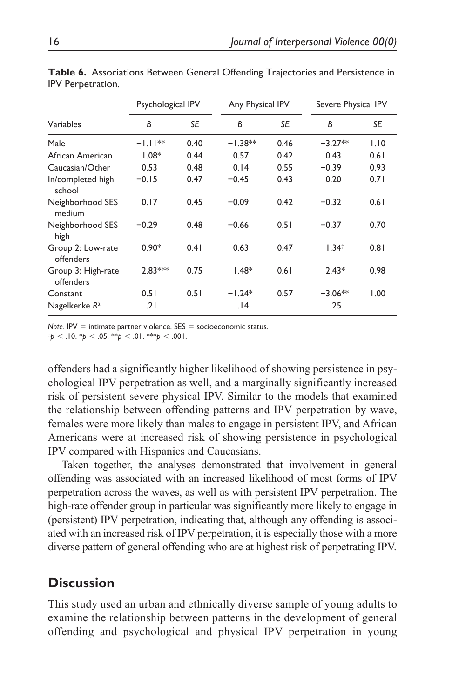|                                 | Psychological IPV |      |           | Any Physical IPV |                   | Severe Physical IPV |  |
|---------------------------------|-------------------|------|-----------|------------------|-------------------|---------------------|--|
| Variables                       | B                 | SE   | B         | SE               | B                 | SE                  |  |
| Male                            | $-1.11**$         | 0.40 | $-1.38**$ | 0.46             | $-3.27**$         | 1.10                |  |
| African American                | $1.08*$           | 0.44 | 0.57      | 0.42             | 0.43              | 0.61                |  |
| Caucasian/Other                 | 0.53              | 0.48 | 0.14      | 0.55             | $-0.39$           | 0.93                |  |
| In/completed high<br>school     | $-0.15$           | 0.47 | $-0.45$   | 0.43             | 0.20              | 0.71                |  |
| Neighborhood SES<br>medium      | 0.17              | 0.45 | $-0.09$   | 0.42             | $-0.32$           | 0.61                |  |
| Neighborhood SES<br>high        | $-0.29$           | 0.48 | $-0.66$   | 0.51             | $-0.37$           | 0.70                |  |
| Group 2: Low-rate<br>offenders  | $0.90*$           | 0.41 | 0.63      | 0.47             | 1.34 <sup>†</sup> | 0.81                |  |
| Group 3: High-rate<br>offenders | $2.83***$         | 0.75 | $1.48*$   | 0.61             | $2.43*$           | 0.98                |  |
| Constant                        | 0.51              | 0.51 | $-1.24*$  | 0.57             | $-3.06**$         | 1.00                |  |
| Nagelkerke R <sup>2</sup>       | .21               |      | 14.       |                  | .25               |                     |  |

**Table 6.** Associations Between General Offending Trajectories and Persistence in IPV Perpetration.

*Note.* IPV = intimate partner violence. SES = socioeconomic status.

† *p* < .10. \**p* < .05. \*\**p* < .01. \*\*\**p* < .001.

offenders had a significantly higher likelihood of showing persistence in psychological IPV perpetration as well, and a marginally significantly increased risk of persistent severe physical IPV. Similar to the models that examined the relationship between offending patterns and IPV perpetration by wave, females were more likely than males to engage in persistent IPV, and African Americans were at increased risk of showing persistence in psychological IPV compared with Hispanics and Caucasians.

Taken together, the analyses demonstrated that involvement in general offending was associated with an increased likelihood of most forms of IPV perpetration across the waves, as well as with persistent IPV perpetration. The high-rate offender group in particular was significantly more likely to engage in (persistent) IPV perpetration, indicating that, although any offending is associated with an increased risk of IPV perpetration, it is especially those with a more diverse pattern of general offending who are at highest risk of perpetrating IPV.

# **Discussion**

This study used an urban and ethnically diverse sample of young adults to examine the relationship between patterns in the development of general offending and psychological and physical IPV perpetration in young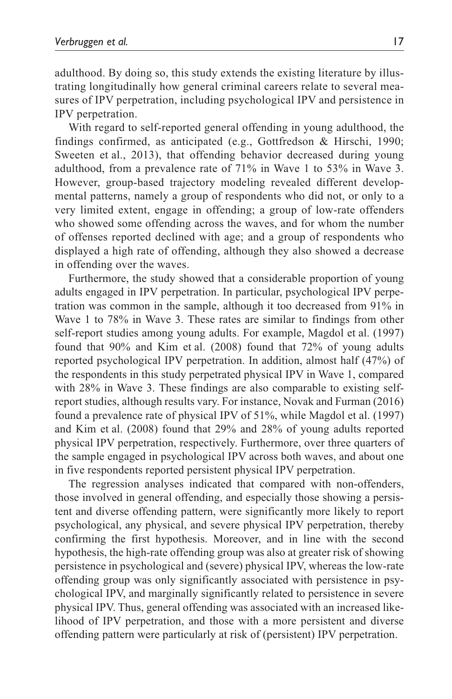adulthood. By doing so, this study extends the existing literature by illustrating longitudinally how general criminal careers relate to several measures of IPV perpetration, including psychological IPV and persistence in IPV perpetration.

With regard to self-reported general offending in young adulthood, the findings confirmed, as anticipated (e.g., Gottfredson & Hirschi, 1990; Sweeten et al., 2013), that offending behavior decreased during young adulthood, from a prevalence rate of 71% in Wave 1 to 53% in Wave 3. However, group-based trajectory modeling revealed different developmental patterns, namely a group of respondents who did not, or only to a very limited extent, engage in offending; a group of low-rate offenders who showed some offending across the waves, and for whom the number of offenses reported declined with age; and a group of respondents who displayed a high rate of offending, although they also showed a decrease in offending over the waves.

Furthermore, the study showed that a considerable proportion of young adults engaged in IPV perpetration. In particular, psychological IPV perpetration was common in the sample, although it too decreased from 91% in Wave 1 to 78% in Wave 3. These rates are similar to findings from other self-report studies among young adults. For example, Magdol et al. (1997) found that 90% and Kim et al. (2008) found that 72% of young adults reported psychological IPV perpetration. In addition, almost half (47%) of the respondents in this study perpetrated physical IPV in Wave 1, compared with 28% in Wave 3. These findings are also comparable to existing selfreport studies, although results vary. For instance, Novak and Furman (2016) found a prevalence rate of physical IPV of 51%, while Magdol et al. (1997) and Kim et al. (2008) found that 29% and 28% of young adults reported physical IPV perpetration, respectively. Furthermore, over three quarters of the sample engaged in psychological IPV across both waves, and about one in five respondents reported persistent physical IPV perpetration.

The regression analyses indicated that compared with non-offenders, those involved in general offending, and especially those showing a persistent and diverse offending pattern, were significantly more likely to report psychological, any physical, and severe physical IPV perpetration, thereby confirming the first hypothesis. Moreover, and in line with the second hypothesis, the high-rate offending group was also at greater risk of showing persistence in psychological and (severe) physical IPV, whereas the low-rate offending group was only significantly associated with persistence in psychological IPV, and marginally significantly related to persistence in severe physical IPV. Thus, general offending was associated with an increased likelihood of IPV perpetration, and those with a more persistent and diverse offending pattern were particularly at risk of (persistent) IPV perpetration.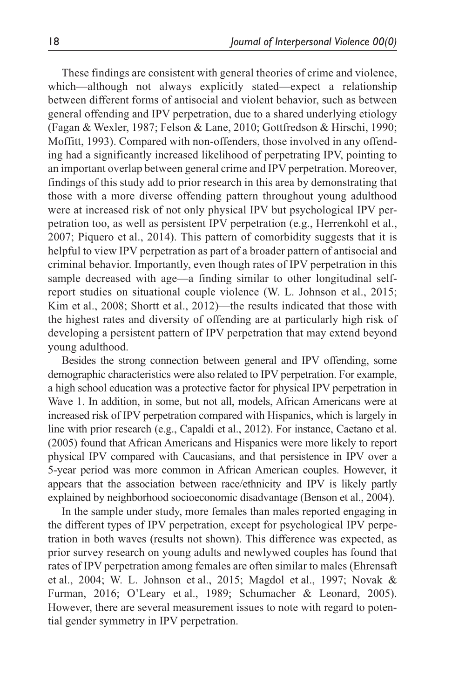These findings are consistent with general theories of crime and violence, which—although not always explicitly stated—expect a relationship between different forms of antisocial and violent behavior, such as between general offending and IPV perpetration, due to a shared underlying etiology (Fagan & Wexler, 1987; Felson & Lane, 2010; Gottfredson & Hirschi, 1990; Moffitt, 1993). Compared with non-offenders, those involved in any offending had a significantly increased likelihood of perpetrating IPV, pointing to an important overlap between general crime and IPV perpetration. Moreover, findings of this study add to prior research in this area by demonstrating that those with a more diverse offending pattern throughout young adulthood were at increased risk of not only physical IPV but psychological IPV perpetration too, as well as persistent IPV perpetration (e.g., Herrenkohl et al., 2007; Piquero et al., 2014). This pattern of comorbidity suggests that it is helpful to view IPV perpetration as part of a broader pattern of antisocial and criminal behavior. Importantly, even though rates of IPV perpetration in this sample decreased with age—a finding similar to other longitudinal selfreport studies on situational couple violence (W. L. Johnson et al., 2015; Kim et al., 2008; Shortt et al., 2012)—the results indicated that those with the highest rates and diversity of offending are at particularly high risk of developing a persistent pattern of IPV perpetration that may extend beyond young adulthood.

Besides the strong connection between general and IPV offending, some demographic characteristics were also related to IPV perpetration. For example, a high school education was a protective factor for physical IPV perpetration in Wave 1. In addition, in some, but not all, models, African Americans were at increased risk of IPV perpetration compared with Hispanics, which is largely in line with prior research (e.g., Capaldi et al., 2012). For instance, Caetano et al. (2005) found that African Americans and Hispanics were more likely to report physical IPV compared with Caucasians, and that persistence in IPV over a 5-year period was more common in African American couples. However, it appears that the association between race/ethnicity and IPV is likely partly explained by neighborhood socioeconomic disadvantage (Benson et al., 2004).

In the sample under study, more females than males reported engaging in the different types of IPV perpetration, except for psychological IPV perpetration in both waves (results not shown). This difference was expected, as prior survey research on young adults and newlywed couples has found that rates of IPV perpetration among females are often similar to males (Ehrensaft et al., 2004; W. L. Johnson et al., 2015; Magdol et al., 1997; Novak & Furman, 2016; O'Leary et al., 1989; Schumacher & Leonard, 2005). However, there are several measurement issues to note with regard to potential gender symmetry in IPV perpetration.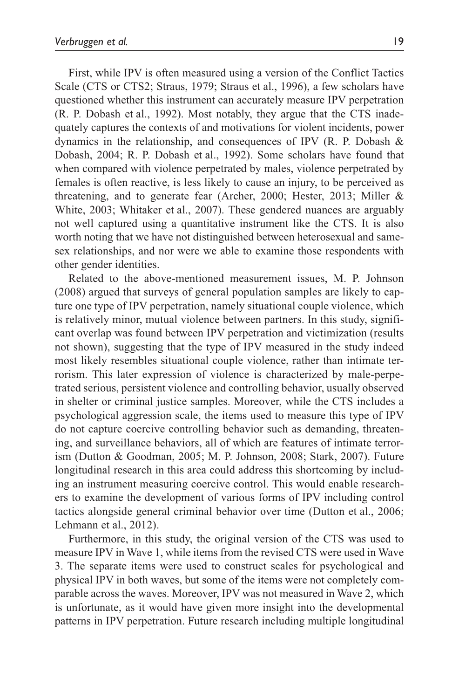First, while IPV is often measured using a version of the Conflict Tactics Scale (CTS or CTS2; Straus, 1979; Straus et al., 1996), a few scholars have questioned whether this instrument can accurately measure IPV perpetration (R. P. Dobash et al., 1992). Most notably, they argue that the CTS inadequately captures the contexts of and motivations for violent incidents, power dynamics in the relationship, and consequences of IPV (R. P. Dobash & Dobash, 2004; R. P. Dobash et al., 1992). Some scholars have found that when compared with violence perpetrated by males, violence perpetrated by females is often reactive, is less likely to cause an injury, to be perceived as threatening, and to generate fear (Archer, 2000; Hester, 2013; Miller & White, 2003; Whitaker et al., 2007). These gendered nuances are arguably not well captured using a quantitative instrument like the CTS. It is also worth noting that we have not distinguished between heterosexual and samesex relationships, and nor were we able to examine those respondents with other gender identities.

Related to the above-mentioned measurement issues, M. P. Johnson (2008) argued that surveys of general population samples are likely to capture one type of IPV perpetration, namely situational couple violence, which is relatively minor, mutual violence between partners. In this study, significant overlap was found between IPV perpetration and victimization (results not shown), suggesting that the type of IPV measured in the study indeed most likely resembles situational couple violence, rather than intimate terrorism. This later expression of violence is characterized by male-perpetrated serious, persistent violence and controlling behavior, usually observed in shelter or criminal justice samples. Moreover, while the CTS includes a psychological aggression scale, the items used to measure this type of IPV do not capture coercive controlling behavior such as demanding, threatening, and surveillance behaviors, all of which are features of intimate terrorism (Dutton & Goodman, 2005; M. P. Johnson, 2008; Stark, 2007). Future longitudinal research in this area could address this shortcoming by including an instrument measuring coercive control. This would enable researchers to examine the development of various forms of IPV including control tactics alongside general criminal behavior over time (Dutton et al., 2006; Lehmann et al., 2012).

Furthermore, in this study, the original version of the CTS was used to measure IPV in Wave 1, while items from the revised CTS were used in Wave 3. The separate items were used to construct scales for psychological and physical IPV in both waves, but some of the items were not completely comparable across the waves. Moreover, IPV was not measured in Wave 2, which is unfortunate, as it would have given more insight into the developmental patterns in IPV perpetration. Future research including multiple longitudinal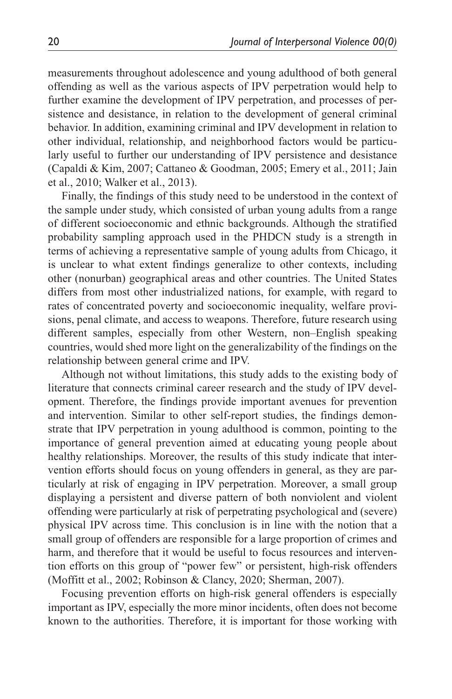measurements throughout adolescence and young adulthood of both general offending as well as the various aspects of IPV perpetration would help to further examine the development of IPV perpetration, and processes of persistence and desistance, in relation to the development of general criminal behavior. In addition, examining criminal and IPV development in relation to other individual, relationship, and neighborhood factors would be particularly useful to further our understanding of IPV persistence and desistance (Capaldi & Kim, 2007; Cattaneo & Goodman, 2005; Emery et al., 2011; Jain et al., 2010; Walker et al., 2013).

Finally, the findings of this study need to be understood in the context of the sample under study, which consisted of urban young adults from a range of different socioeconomic and ethnic backgrounds. Although the stratified probability sampling approach used in the PHDCN study is a strength in terms of achieving a representative sample of young adults from Chicago, it is unclear to what extent findings generalize to other contexts, including other (nonurban) geographical areas and other countries. The United States differs from most other industrialized nations, for example, with regard to rates of concentrated poverty and socioeconomic inequality, welfare provisions, penal climate, and access to weapons. Therefore, future research using different samples, especially from other Western, non–English speaking countries, would shed more light on the generalizability of the findings on the relationship between general crime and IPV.

Although not without limitations, this study adds to the existing body of literature that connects criminal career research and the study of IPV development. Therefore, the findings provide important avenues for prevention and intervention. Similar to other self-report studies, the findings demonstrate that IPV perpetration in young adulthood is common, pointing to the importance of general prevention aimed at educating young people about healthy relationships. Moreover, the results of this study indicate that intervention efforts should focus on young offenders in general, as they are particularly at risk of engaging in IPV perpetration. Moreover, a small group displaying a persistent and diverse pattern of both nonviolent and violent offending were particularly at risk of perpetrating psychological and (severe) physical IPV across time. This conclusion is in line with the notion that a small group of offenders are responsible for a large proportion of crimes and harm, and therefore that it would be useful to focus resources and intervention efforts on this group of "power few" or persistent, high-risk offenders (Moffitt et al., 2002; Robinson & Clancy, 2020; Sherman, 2007).

Focusing prevention efforts on high-risk general offenders is especially important as IPV, especially the more minor incidents, often does not become known to the authorities. Therefore, it is important for those working with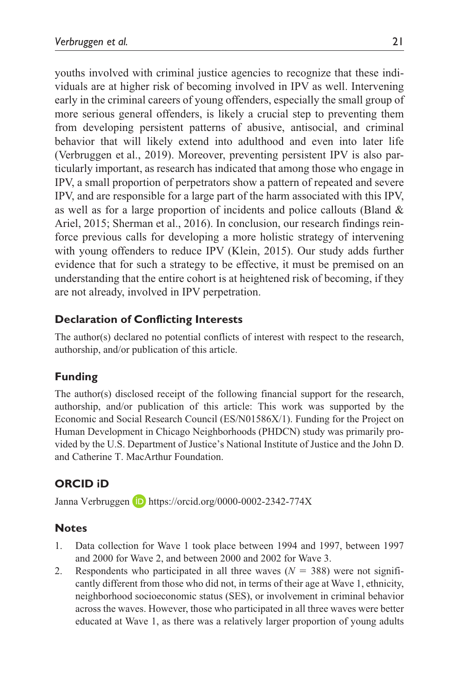youths involved with criminal justice agencies to recognize that these individuals are at higher risk of becoming involved in IPV as well. Intervening early in the criminal careers of young offenders, especially the small group of more serious general offenders, is likely a crucial step to preventing them from developing persistent patterns of abusive, antisocial, and criminal behavior that will likely extend into adulthood and even into later life (Verbruggen et al., 2019). Moreover, preventing persistent IPV is also particularly important, as research has indicated that among those who engage in IPV, a small proportion of perpetrators show a pattern of repeated and severe IPV, and are responsible for a large part of the harm associated with this IPV, as well as for a large proportion of incidents and police callouts (Bland & Ariel, 2015; Sherman et al., 2016). In conclusion, our research findings reinforce previous calls for developing a more holistic strategy of intervening with young offenders to reduce IPV (Klein, 2015). Our study adds further evidence that for such a strategy to be effective, it must be premised on an understanding that the entire cohort is at heightened risk of becoming, if they are not already, involved in IPV perpetration.

## **Declaration of Conflicting Interests**

The author(s) declared no potential conflicts of interest with respect to the research, authorship, and/or publication of this article.

## **Funding**

The author(s) disclosed receipt of the following financial support for the research, authorship, and/or publication of this article: This work was supported by the Economic and Social Research Council (ES/N01586X/1). Funding for the Project on Human Development in Chicago Neighborhoods (PHDCN) study was primarily provided by the U.S. Department of Justice's National Institute of Justice and the John D. and Catherine T. MacArthur Foundation.

## **ORCID iD**

Janna Verbruggen **iD** <https://orcid.org/0000-0002-2342-774X>

## **Notes**

- 1. Data collection for Wave 1 took place between 1994 and 1997, between 1997 and 2000 for Wave 2, and between 2000 and 2002 for Wave 3.
- 2. Respondents who participated in all three waves  $(N = 388)$  were not significantly different from those who did not, in terms of their age at Wave 1, ethnicity, neighborhood socioeconomic status (SES), or involvement in criminal behavior across the waves. However, those who participated in all three waves were better educated at Wave 1, as there was a relatively larger proportion of young adults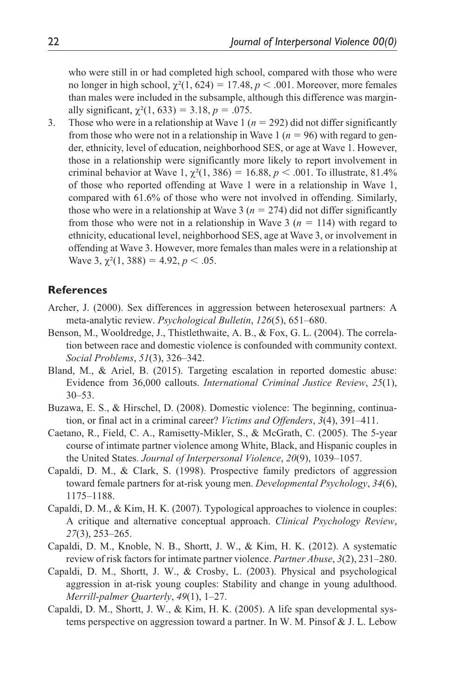who were still in or had completed high school, compared with those who were no longer in high school,  $\chi^2(1, 624) = 17.48$ ,  $p < .001$ . Moreover, more females than males were included in the subsample, although this difference was marginally significant,  $\gamma^2(1, 633) = 3.18$ ,  $p = .075$ .

3. Those who were in a relationship at Wave  $1 (n = 292)$  did not differ significantly from those who were not in a relationship in Wave 1 ( $n = 96$ ) with regard to gender, ethnicity, level of education, neighborhood SES, or age at Wave 1. However, those in a relationship were significantly more likely to report involvement in criminal behavior at Wave 1,  $\chi^2(1, 386) = 16.88, p < .001$ . To illustrate, 81.4% of those who reported offending at Wave 1 were in a relationship in Wave 1, compared with 61.6% of those who were not involved in offending. Similarly, those who were in a relationship at Wave 3 ( $n = 274$ ) did not differ significantly from those who were not in a relationship in Wave  $3(n = 114)$  with regard to ethnicity, educational level, neighborhood SES, age at Wave 3, or involvement in offending at Wave 3. However, more females than males were in a relationship at Wave 3,  $\chi^2(1, 388) = 4.92, p < .05$ .

### **References**

- Archer, J. (2000). Sex differences in aggression between heterosexual partners: A meta-analytic review. *Psychological Bulletin*, *126*(5), 651–680.
- Benson, M., Wooldredge, J., Thistlethwaite, A. B., & Fox, G. L. (2004). The correlation between race and domestic violence is confounded with community context. *Social Problems*, *51*(3), 326–342.
- Bland, M., & Ariel, B. (2015). Targeting escalation in reported domestic abuse: Evidence from 36,000 callouts. *International Criminal Justice Review*, *25*(1), 30–53.
- Buzawa, E. S., & Hirschel, D. (2008). Domestic violence: The beginning, continuation, or final act in a criminal career? *Victims and Offenders*, *3*(4), 391–411.
- Caetano, R., Field, C. A., Ramisetty-Mikler, S., & McGrath, C. (2005). The 5-year course of intimate partner violence among White, Black, and Hispanic couples in the United States. *Journal of Interpersonal Violence*, *20*(9), 1039–1057.
- Capaldi, D. M., & Clark, S. (1998). Prospective family predictors of aggression toward female partners for at-risk young men. *Developmental Psychology*, *34*(6), 1175–1188.
- Capaldi, D. M., & Kim, H. K. (2007). Typological approaches to violence in couples: A critique and alternative conceptual approach. *Clinical Psychology Review*, *27*(3), 253–265.
- Capaldi, D. M., Knoble, N. B., Shortt, J. W., & Kim, H. K. (2012). A systematic review of risk factors for intimate partner violence. *Partner Abuse*, *3*(2), 231–280.
- Capaldi, D. M., Shortt, J. W., & Crosby, L. (2003). Physical and psychological aggression in at-risk young couples: Stability and change in young adulthood. *Merrill-palmer Quarterly*, *49*(1), 1–27.
- Capaldi, D. M., Shortt, J. W., & Kim, H. K. (2005). A life span developmental systems perspective on aggression toward a partner. In W. M. Pinsof & J. L. Lebow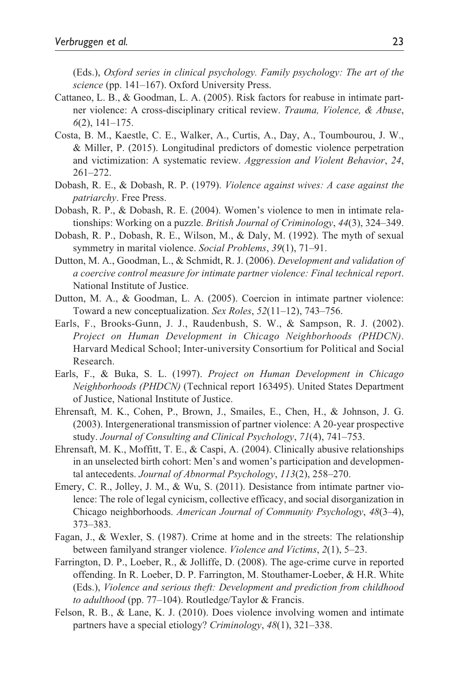(Eds.), *Oxford series in clinical psychology. Family psychology: The art of the science* (pp. 141–167). Oxford University Press.

- Cattaneo, L. B., & Goodman, L. A. (2005). Risk factors for reabuse in intimate partner violence: A cross-disciplinary critical review. *Trauma, Violence, & Abuse*, *6*(2), 141–175.
- Costa, B. M., Kaestle, C. E., Walker, A., Curtis, A., Day, A., Toumbourou, J. W., & Miller, P. (2015). Longitudinal predictors of domestic violence perpetration and victimization: A systematic review. *Aggression and Violent Behavior*, *24*, 261–272.
- Dobash, R. E., & Dobash, R. P. (1979). *Violence against wives: A case against the patriarchy*. Free Press.
- Dobash, R. P., & Dobash, R. E. (2004). Women's violence to men in intimate relationships: Working on a puzzle. *British Journal of Criminology*, *44*(3), 324–349.
- Dobash, R. P., Dobash, R. E., Wilson, M., & Daly, M. (1992). The myth of sexual symmetry in marital violence. *Social Problems*, *39*(1), 71–91.
- Dutton, M. A., Goodman, L., & Schmidt, R. J. (2006). *Development and validation of a coercive control measure for intimate partner violence: Final technical report*. National Institute of Justice.
- Dutton, M. A., & Goodman, L. A. (2005). Coercion in intimate partner violence: Toward a new conceptualization. *Sex Roles*, *52*(11–12), 743–756.
- Earls, F., Brooks-Gunn, J. J., Raudenbush, S. W., & Sampson, R. J. (2002). *Project on Human Development in Chicago Neighborhoods (PHDCN)*. Harvard Medical School; Inter-university Consortium for Political and Social Research.
- Earls, F., & Buka, S. L. (1997). *Project on Human Development in Chicago Neighborhoods (PHDCN)* (Technical report 163495). United States Department of Justice, National Institute of Justice.
- Ehrensaft, M. K., Cohen, P., Brown, J., Smailes, E., Chen, H., & Johnson, J. G. (2003). Intergenerational transmission of partner violence: A 20-year prospective study. *Journal of Consulting and Clinical Psychology*, *71*(4), 741–753.
- Ehrensaft, M. K., Moffitt, T. E., & Caspi, A. (2004). Clinically abusive relationships in an unselected birth cohort: Men's and women's participation and developmental antecedents. *Journal of Abnormal Psychology*, *113*(2), 258–270.
- Emery, C. R., Jolley, J. M., & Wu, S. (2011). Desistance from intimate partner violence: The role of legal cynicism, collective efficacy, and social disorganization in Chicago neighborhoods. *American Journal of Community Psychology*, *48*(3–4), 373–383.
- Fagan, J., & Wexler, S. (1987). Crime at home and in the streets: The relationship between familyand stranger violence. *Violence and Victims*, *2*(1), 5–23.
- Farrington, D. P., Loeber, R., & Jolliffe, D. (2008). The age-crime curve in reported offending. In R. Loeber, D. P. Farrington, M. Stouthamer-Loeber, & H.R. White (Eds.), *Violence and serious theft: Development and prediction from childhood to adulthood* (pp. 77–104). Routledge/Taylor & Francis.
- Felson, R. B., & Lane, K. J. (2010). Does violence involving women and intimate partners have a special etiology? *Criminology*, *48*(1), 321–338.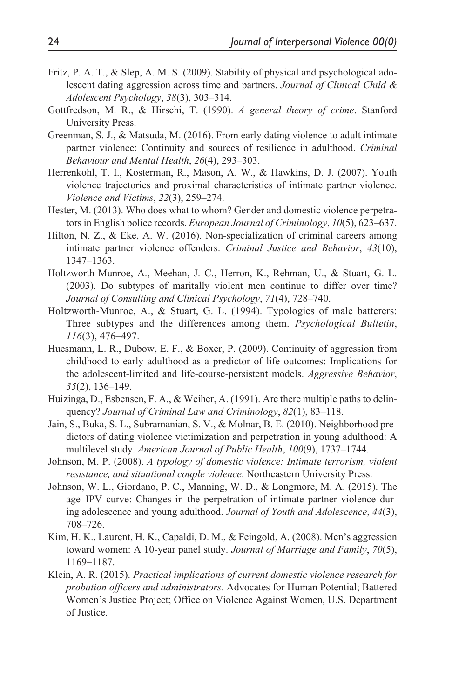- Fritz, P. A. T., & Slep, A. M. S. (2009). Stability of physical and psychological adolescent dating aggression across time and partners. *Journal of Clinical Child & Adolescent Psychology*, *38*(3), 303–314.
- Gottfredson, M. R., & Hirschi, T. (1990). *A general theory of crime*. Stanford University Press.
- Greenman, S. J., & Matsuda, M. (2016). From early dating violence to adult intimate partner violence: Continuity and sources of resilience in adulthood. *Criminal Behaviour and Mental Health*, *26*(4), 293–303.
- Herrenkohl, T. I., Kosterman, R., Mason, A. W., & Hawkins, D. J. (2007). Youth violence trajectories and proximal characteristics of intimate partner violence. *Violence and Victims*, *22*(3), 259–274.
- Hester, M. (2013). Who does what to whom? Gender and domestic violence perpetrators in English police records. *European Journal of Criminology*, *10*(5), 623–637.
- Hilton, N. Z., & Eke, A. W. (2016). Non-specialization of criminal careers among intimate partner violence offenders. *Criminal Justice and Behavior*, *43*(10), 1347–1363.
- Holtzworth-Munroe, A., Meehan, J. C., Herron, K., Rehman, U., & Stuart, G. L. (2003). Do subtypes of maritally violent men continue to differ over time? *Journal of Consulting and Clinical Psychology*, *71*(4), 728–740.
- Holtzworth-Munroe, A., & Stuart, G. L. (1994). Typologies of male batterers: Three subtypes and the differences among them. *Psychological Bulletin*, *116*(3), 476–497.
- Huesmann, L. R., Dubow, E. F., & Boxer, P. (2009). Continuity of aggression from childhood to early adulthood as a predictor of life outcomes: Implications for the adolescent-limited and life-course-persistent models. *Aggressive Behavior*, *35*(2), 136–149.
- Huizinga, D., Esbensen, F. A., & Weiher, A. (1991). Are there multiple paths to delinquency? *Journal of Criminal Law and Criminology*, *82*(1), 83–118.
- Jain, S., Buka, S. L., Subramanian, S. V., & Molnar, B. E. (2010). Neighborhood predictors of dating violence victimization and perpetration in young adulthood: A multilevel study. *American Journal of Public Health*, *100*(9), 1737–1744.
- Johnson, M. P. (2008). *A typology of domestic violence: Intimate terrorism, violent resistance, and situational couple violence*. Northeastern University Press.
- Johnson, W. L., Giordano, P. C., Manning, W. D., & Longmore, M. A. (2015). The age–IPV curve: Changes in the perpetration of intimate partner violence during adolescence and young adulthood. *Journal of Youth and Adolescence*, *44*(3), 708–726.
- Kim, H. K., Laurent, H. K., Capaldi, D. M., & Feingold, A. (2008). Men's aggression toward women: A 10-year panel study. *Journal of Marriage and Family*, *70*(5), 1169–1187.
- Klein, A. R. (2015). *Practical implications of current domestic violence research for probation officers and administrators*. Advocates for Human Potential; Battered Women's Justice Project; Office on Violence Against Women, U.S. Department of Justice.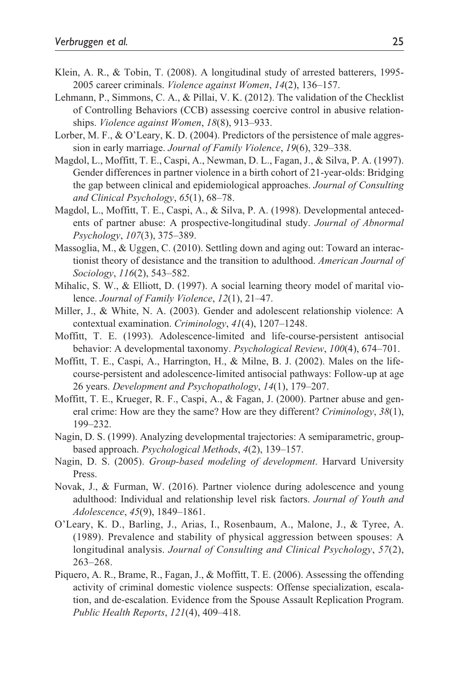- Klein, A. R., & Tobin, T. (2008). A longitudinal study of arrested batterers, 1995- 2005 career criminals. *Violence against Women*, *14*(2), 136–157.
- Lehmann, P., Simmons, C. A., & Pillai, V. K. (2012). The validation of the Checklist of Controlling Behaviors (CCB) assessing coercive control in abusive relationships. *Violence against Women*, *18*(8), 913–933.
- Lorber, M. F., & O'Leary, K. D. (2004). Predictors of the persistence of male aggression in early marriage. *Journal of Family Violence*, *19*(6), 329–338.
- Magdol, L., Moffitt, T. E., Caspi, A., Newman, D. L., Fagan, J., & Silva, P. A. (1997). Gender differences in partner violence in a birth cohort of 21-year-olds: Bridging the gap between clinical and epidemiological approaches. *Journal of Consulting and Clinical Psychology*, *65*(1), 68–78.
- Magdol, L., Moffitt, T. E., Caspi, A., & Silva, P. A. (1998). Developmental antecedents of partner abuse: A prospective-longitudinal study. *Journal of Abnormal Psychology*, *107*(3), 375–389.
- Massoglia, M., & Uggen, C. (2010). Settling down and aging out: Toward an interactionist theory of desistance and the transition to adulthood. *American Journal of Sociology*, *116*(2), 543–582.
- Mihalic, S. W., & Elliott, D. (1997). A social learning theory model of marital violence. *Journal of Family Violence*, *12*(1), 21–47.
- Miller, J., & White, N. A. (2003). Gender and adolescent relationship violence: A contextual examination. *Criminology*, *41*(4), 1207–1248.
- Moffitt, T. E. (1993). Adolescence-limited and life-course-persistent antisocial behavior: A developmental taxonomy. *Psychological Review*, *100*(4), 674–701.
- Moffitt, T. E., Caspi, A., Harrington, H., & Milne, B. J. (2002). Males on the lifecourse-persistent and adolescence-limited antisocial pathways: Follow-up at age 26 years. *Development and Psychopathology*, *14*(1), 179–207.
- Moffitt, T. E., Krueger, R. F., Caspi, A., & Fagan, J. (2000). Partner abuse and general crime: How are they the same? How are they different? *Criminology*, *38*(1), 199–232.
- Nagin, D. S. (1999). Analyzing developmental trajectories: A semiparametric, groupbased approach. *Psychological Methods*, *4*(2), 139–157.
- Nagin, D. S. (2005). *Group-based modeling of development*. Harvard University Press.
- Novak, J., & Furman, W. (2016). Partner violence during adolescence and young adulthood: Individual and relationship level risk factors. *Journal of Youth and Adolescence*, *45*(9), 1849–1861.
- O'Leary, K. D., Barling, J., Arias, I., Rosenbaum, A., Malone, J., & Tyree, A. (1989). Prevalence and stability of physical aggression between spouses: A longitudinal analysis. *Journal of Consulting and Clinical Psychology*, *57*(2), 263–268.
- Piquero, A. R., Brame, R., Fagan, J., & Moffitt, T. E. (2006). Assessing the offending activity of criminal domestic violence suspects: Offense specialization, escalation, and de-escalation. Evidence from the Spouse Assault Replication Program. *Public Health Reports*, *121*(4), 409–418.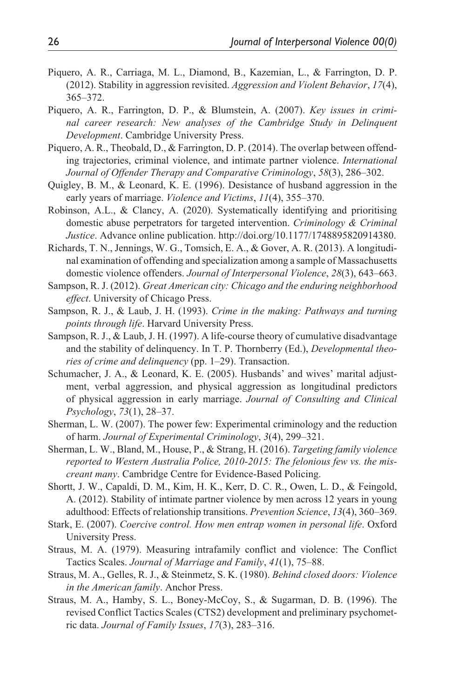- Piquero, A. R., Carriaga, M. L., Diamond, B., Kazemian, L., & Farrington, D. P. (2012). Stability in aggression revisited. *Aggression and Violent Behavior*, *17*(4), 365–372.
- Piquero, A. R., Farrington, D. P., & Blumstein, A. (2007). *Key issues in criminal career research: New analyses of the Cambridge Study in Delinquent Development*. Cambridge University Press.
- Piquero, A. R., Theobald, D., & Farrington, D. P. (2014). The overlap between offending trajectories, criminal violence, and intimate partner violence. *International Journal of Offender Therapy and Comparative Criminology*, *58*(3), 286–302.
- Quigley, B. M., & Leonard, K. E. (1996). Desistance of husband aggression in the early years of marriage. *Violence and Victims*, *11*(4), 355–370.
- Robinson, A.L., & Clancy, A. (2020). Systematically identifying and prioritising domestic abuse perpetrators for targeted intervention. *Criminology & Criminal Justice*. Advance online publication. [http://doi.org/10.1177/1748895820914380.](http://doi.org/10.1177/1748895820914380)
- Richards, T. N., Jennings, W. G., Tomsich, E. A., & Gover, A. R. (2013). A longitudinal examination of offending and specialization among a sample of Massachusetts domestic violence offenders. *Journal of Interpersonal Violence*, *28*(3), 643–663.
- Sampson, R. J. (2012). *Great American city: Chicago and the enduring neighborhood effect*. University of Chicago Press.
- Sampson, R. J., & Laub, J. H. (1993). *Crime in the making: Pathways and turning points through life*. Harvard University Press.
- Sampson, R. J., & Laub, J. H. (1997). A life-course theory of cumulative disadvantage and the stability of delinquency. In T. P. Thornberry (Ed.), *Developmental theories of crime and delinquency* (pp. 1–29). Transaction.
- Schumacher, J. A., & Leonard, K. E. (2005). Husbands' and wives' marital adjustment, verbal aggression, and physical aggression as longitudinal predictors of physical aggression in early marriage. *Journal of Consulting and Clinical Psychology*, *73*(1), 28–37.
- Sherman, L. W. (2007). The power few: Experimental criminology and the reduction of harm. *Journal of Experimental Criminology*, *3*(4), 299–321.
- Sherman, L. W., Bland, M., House, P., & Strang, H. (2016). *Targeting family violence reported to Western Australia Police, 2010-2015: The felonious few vs. the miscreant many*. Cambridge Centre for Evidence-Based Policing.
- Shortt, J. W., Capaldi, D. M., Kim, H. K., Kerr, D. C. R., Owen, L. D., & Feingold, A. (2012). Stability of intimate partner violence by men across 12 years in young adulthood: Effects of relationship transitions. *Prevention Science*, *13*(4), 360–369.
- Stark, E. (2007). *Coercive control. How men entrap women in personal life*. Oxford University Press.
- Straus, M. A. (1979). Measuring intrafamily conflict and violence: The Conflict Tactics Scales. *Journal of Marriage and Family*, *41*(1), 75–88.
- Straus, M. A., Gelles, R. J., & Steinmetz, S. K. (1980). *Behind closed doors: Violence in the American family*. Anchor Press.
- Straus, M. A., Hamby, S. L., Boney-McCoy, S., & Sugarman, D. B. (1996). The revised Conflict Tactics Scales (CTS2) development and preliminary psychometric data. *Journal of Family Issues*, *17*(3), 283–316.